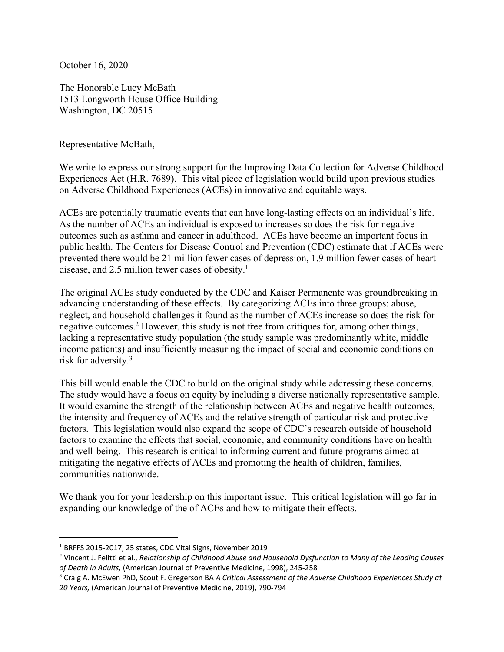October 16, 2020

The Honorable Lucy McBath 1513 Longworth House Office Building Washington, DC 20515

Representative McBath,

We write to express our strong support for the Improving Data Collection for Adverse Childhood Experiences Act (H.R. 7689). This vital piece of legislation would build upon previous studies on Adverse Childhood Experiences (ACEs) in innovative and equitable ways.

ACEs are potentially traumatic events that can have long-lasting effects on an individual's life. As the number of ACEs an individual is exposed to increases so does the risk for negative outcomes such as asthma and cancer in adulthood. ACEs have become an important focus in public health. The Centers for Disease Control and Prevention (CDC) estimate that if ACEs were prevented there would be 21 million fewer cases of depression, 1.9 million fewer cases of heart disease, and 2.5 million fewer cases of obesity.<sup>1</sup>

The original ACEs study conducted by the CDC and Kaiser Permanente was groundbreaking in advancing understanding of these effects. By categorizing ACEs into three groups: abuse, neglect, and household challenges it found as the number of ACEs increase so does the risk for negative outcomes. <sup>2</sup> However, this study is not free from critiques for, among other things, lacking a representative study population (the study sample was predominantly white, middle income patients) and insufficiently measuring the impact of social and economic conditions on risk for adversity. 3

This bill would enable the CDC to build on the original study while addressing these concerns. The study would have a focus on equity by including a diverse nationally representative sample. It would examine the strength of the relationship between ACEs and negative health outcomes, the intensity and frequency of ACEs and the relative strength of particular risk and protective factors. This legislation would also expand the scope of CDC's research outside of household factors to examine the effects that social, economic, and community conditions have on health and well-being. This research is critical to informing current and future programs aimed at mitigating the negative effects of ACEs and promoting the health of children, families, communities nationwide.

We thank you for your leadership on this important issue. This critical legislation will go far in expanding our knowledge of the of ACEs and how to mitigate their effects.

<sup>1</sup> BRFFS 2015-2017, 25 states, CDC Vital Signs, November 2019

<sup>2</sup> Vincent J. Felitti et al., *Relationship of Childhood Abuse and Household Dysfunction to Many of the Leading Causes of Death in Adults,* (American Journal of Preventive Medicine, 1998), 245-258

<sup>3</sup> Craig A. McEwen PhD, Scout F. Gregerson BA *A Critical Assessment of the Adverse Childhood Experiences Study at 20 Years,* (American Journal of Preventive Medicine, 2019), 790-794